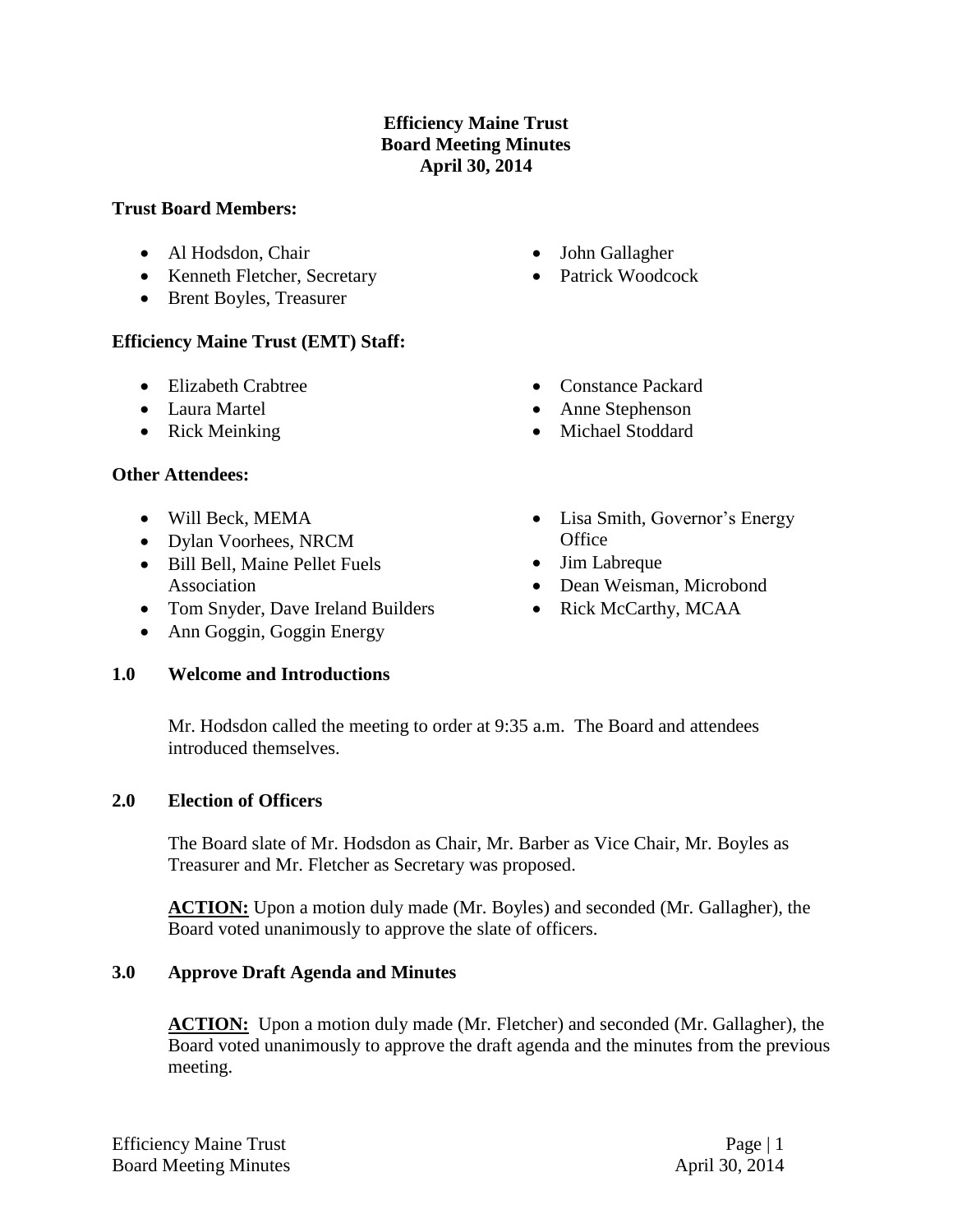## **Efficiency Maine Trust Board Meeting Minutes April 30, 2014**

#### **Trust Board Members:**

- Al Hodsdon, Chair
- Kenneth Fletcher, Secretary
- Brent Boyles, Treasurer

## **Efficiency Maine Trust (EMT) Staff:**

- Elizabeth Crabtree
- Laura Martel
- Rick Meinking

### **Other Attendees:**

- Will Beck, MEMA
- Dylan Voorhees, NRCM
- Bill Bell, Maine Pellet Fuels Association
- Tom Snyder, Dave Ireland Builders
- Ann Goggin, Goggin Energy

### **1.0 Welcome and Introductions**

- John Gallagher
- Patrick Woodcock
- Constance Packard
- Anne Stephenson
- Michael Stoddard
- Lisa Smith, Governor's Energy **Office**
- Jim Labreque
- Dean Weisman, Microbond
- Rick McCarthy, MCAA

Mr. Hodsdon called the meeting to order at 9:35 a.m. The Board and attendees introduced themselves.

### **2.0 Election of Officers**

The Board slate of Mr. Hodsdon as Chair, Mr. Barber as Vice Chair, Mr. Boyles as Treasurer and Mr. Fletcher as Secretary was proposed.

**ACTION:** Upon a motion duly made (Mr. Boyles) and seconded (Mr. Gallagher), the Board voted unanimously to approve the slate of officers.

### **3.0 Approve Draft Agenda and Minutes**

ACTION: Upon a motion duly made (Mr. Fletcher) and seconded (Mr. Gallagher), the Board voted unanimously to approve the draft agenda and the minutes from the previous meeting.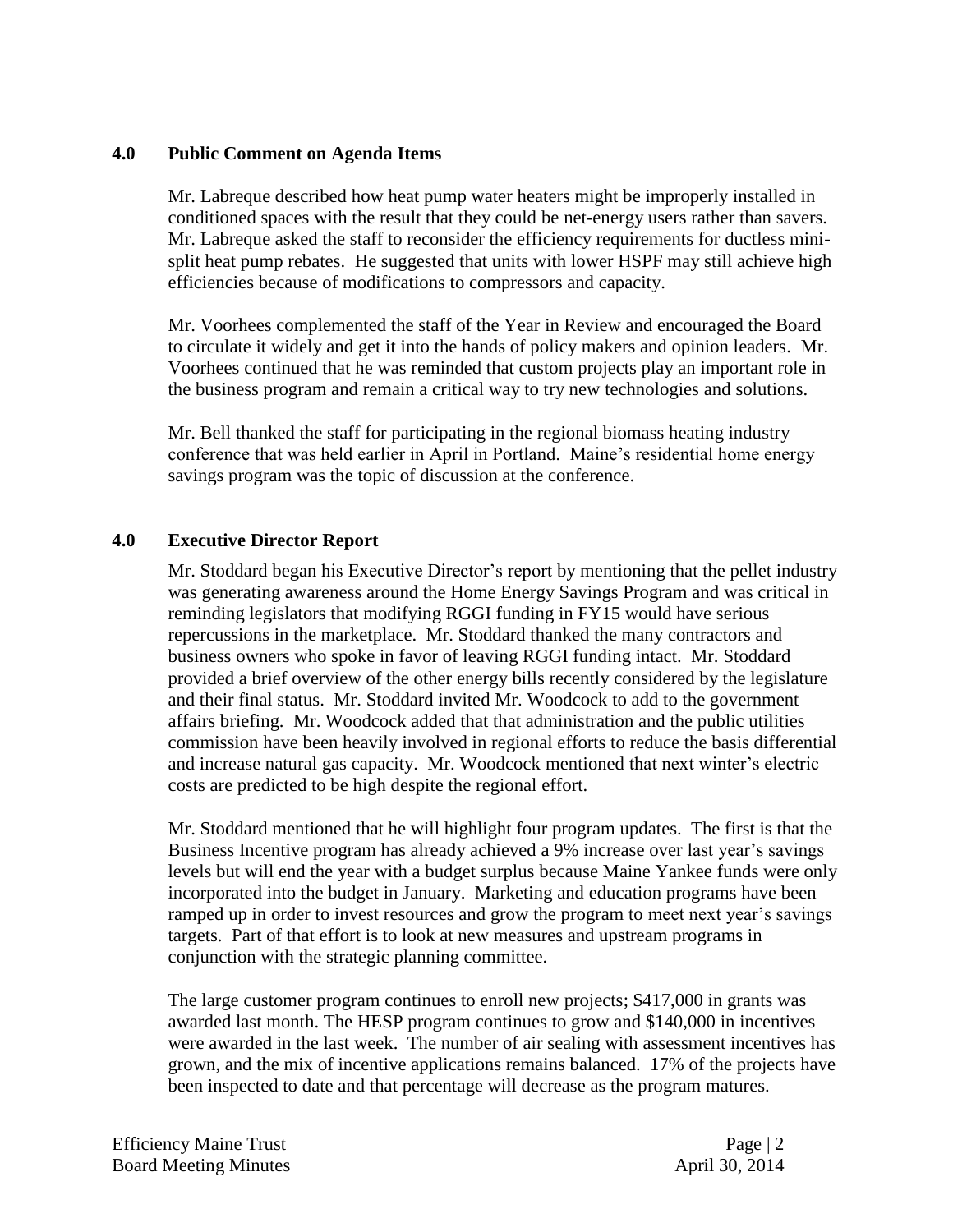#### **4.0 Public Comment on Agenda Items**

Mr. Labreque described how heat pump water heaters might be improperly installed in conditioned spaces with the result that they could be net-energy users rather than savers. Mr. Labreque asked the staff to reconsider the efficiency requirements for ductless minisplit heat pump rebates. He suggested that units with lower HSPF may still achieve high efficiencies because of modifications to compressors and capacity.

Mr. Voorhees complemented the staff of the Year in Review and encouraged the Board to circulate it widely and get it into the hands of policy makers and opinion leaders. Mr. Voorhees continued that he was reminded that custom projects play an important role in the business program and remain a critical way to try new technologies and solutions.

Mr. Bell thanked the staff for participating in the regional biomass heating industry conference that was held earlier in April in Portland. Maine's residential home energy savings program was the topic of discussion at the conference.

#### **4.0 Executive Director Report**

Mr. Stoddard began his Executive Director's report by mentioning that the pellet industry was generating awareness around the Home Energy Savings Program and was critical in reminding legislators that modifying RGGI funding in FY15 would have serious repercussions in the marketplace. Mr. Stoddard thanked the many contractors and business owners who spoke in favor of leaving RGGI funding intact. Mr. Stoddard provided a brief overview of the other energy bills recently considered by the legislature and their final status. Mr. Stoddard invited Mr. Woodcock to add to the government affairs briefing. Mr. Woodcock added that that administration and the public utilities commission have been heavily involved in regional efforts to reduce the basis differential and increase natural gas capacity. Mr. Woodcock mentioned that next winter's electric costs are predicted to be high despite the regional effort.

Mr. Stoddard mentioned that he will highlight four program updates. The first is that the Business Incentive program has already achieved a 9% increase over last year's savings levels but will end the year with a budget surplus because Maine Yankee funds were only incorporated into the budget in January. Marketing and education programs have been ramped up in order to invest resources and grow the program to meet next year's savings targets. Part of that effort is to look at new measures and upstream programs in conjunction with the strategic planning committee.

The large customer program continues to enroll new projects; \$417,000 in grants was awarded last month. The HESP program continues to grow and \$140,000 in incentives were awarded in the last week. The number of air sealing with assessment incentives has grown, and the mix of incentive applications remains balanced. 17% of the projects have been inspected to date and that percentage will decrease as the program matures.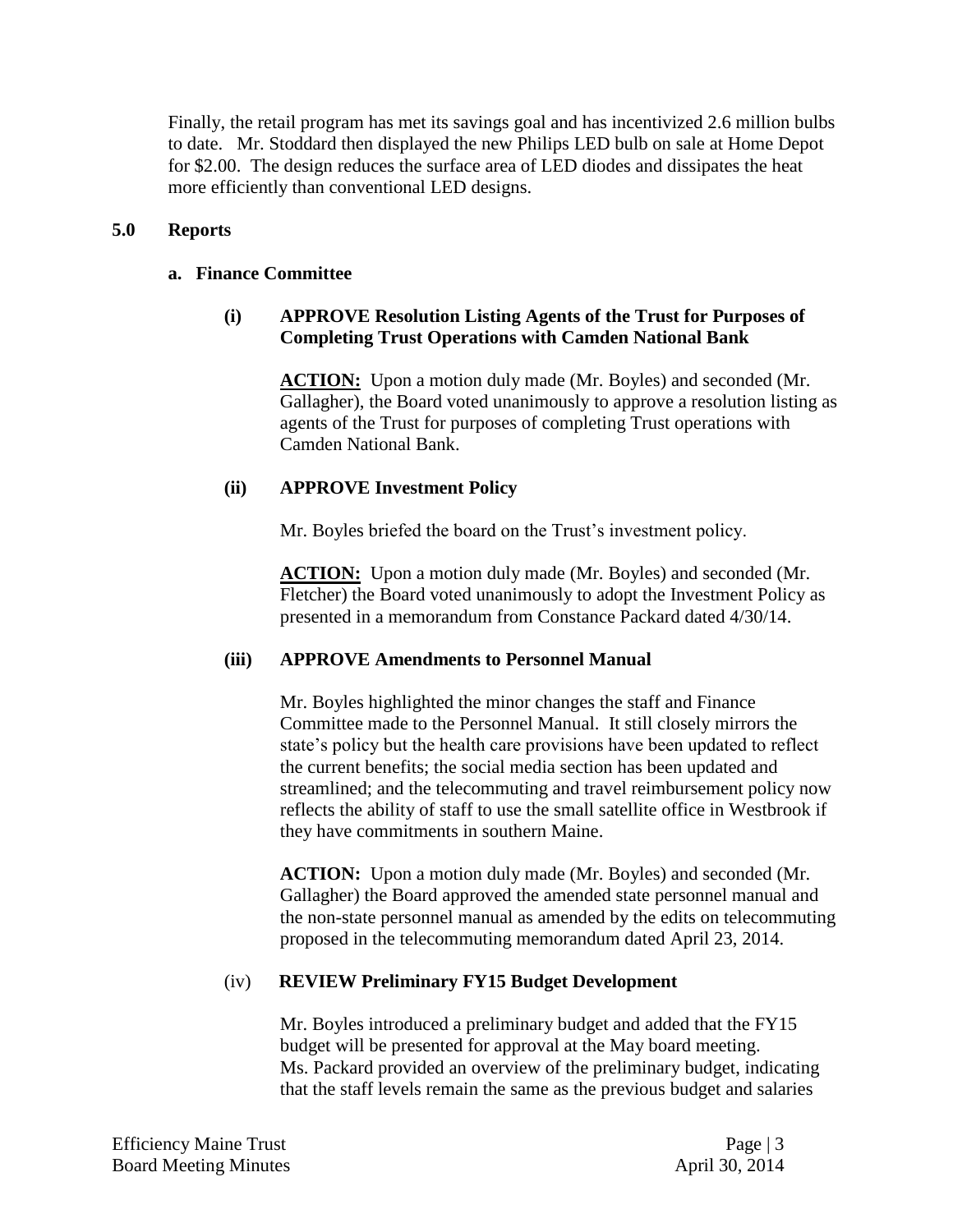Finally, the retail program has met its savings goal and has incentivized 2.6 million bulbs to date. Mr. Stoddard then displayed the new Philips LED bulb on sale at Home Depot for \$2.00. The design reduces the surface area of LED diodes and dissipates the heat more efficiently than conventional LED designs.

### **5.0 Reports**

#### **a. Finance Committee**

## **(i) APPROVE Resolution Listing Agents of the Trust for Purposes of Completing Trust Operations with Camden National Bank**

**ACTION:** Upon a motion duly made (Mr. Boyles) and seconded (Mr. Gallagher), the Board voted unanimously to approve a resolution listing as agents of the Trust for purposes of completing Trust operations with Camden National Bank.

### **(ii) APPROVE Investment Policy**

Mr. Boyles briefed the board on the Trust's investment policy.

**ACTION:** Upon a motion duly made (Mr. Boyles) and seconded (Mr. Fletcher) the Board voted unanimously to adopt the Investment Policy as presented in a memorandum from Constance Packard dated 4/30/14.

### **(iii) APPROVE Amendments to Personnel Manual**

Mr. Boyles highlighted the minor changes the staff and Finance Committee made to the Personnel Manual. It still closely mirrors the state's policy but the health care provisions have been updated to reflect the current benefits; the social media section has been updated and streamlined; and the telecommuting and travel reimbursement policy now reflects the ability of staff to use the small satellite office in Westbrook if they have commitments in southern Maine.

**ACTION:** Upon a motion duly made (Mr. Boyles) and seconded (Mr. Gallagher) the Board approved the amended state personnel manual and the non-state personnel manual as amended by the edits on telecommuting proposed in the telecommuting memorandum dated April 23, 2014.

### (iv) **REVIEW Preliminary FY15 Budget Development**

Mr. Boyles introduced a preliminary budget and added that the FY15 budget will be presented for approval at the May board meeting. Ms. Packard provided an overview of the preliminary budget, indicating that the staff levels remain the same as the previous budget and salaries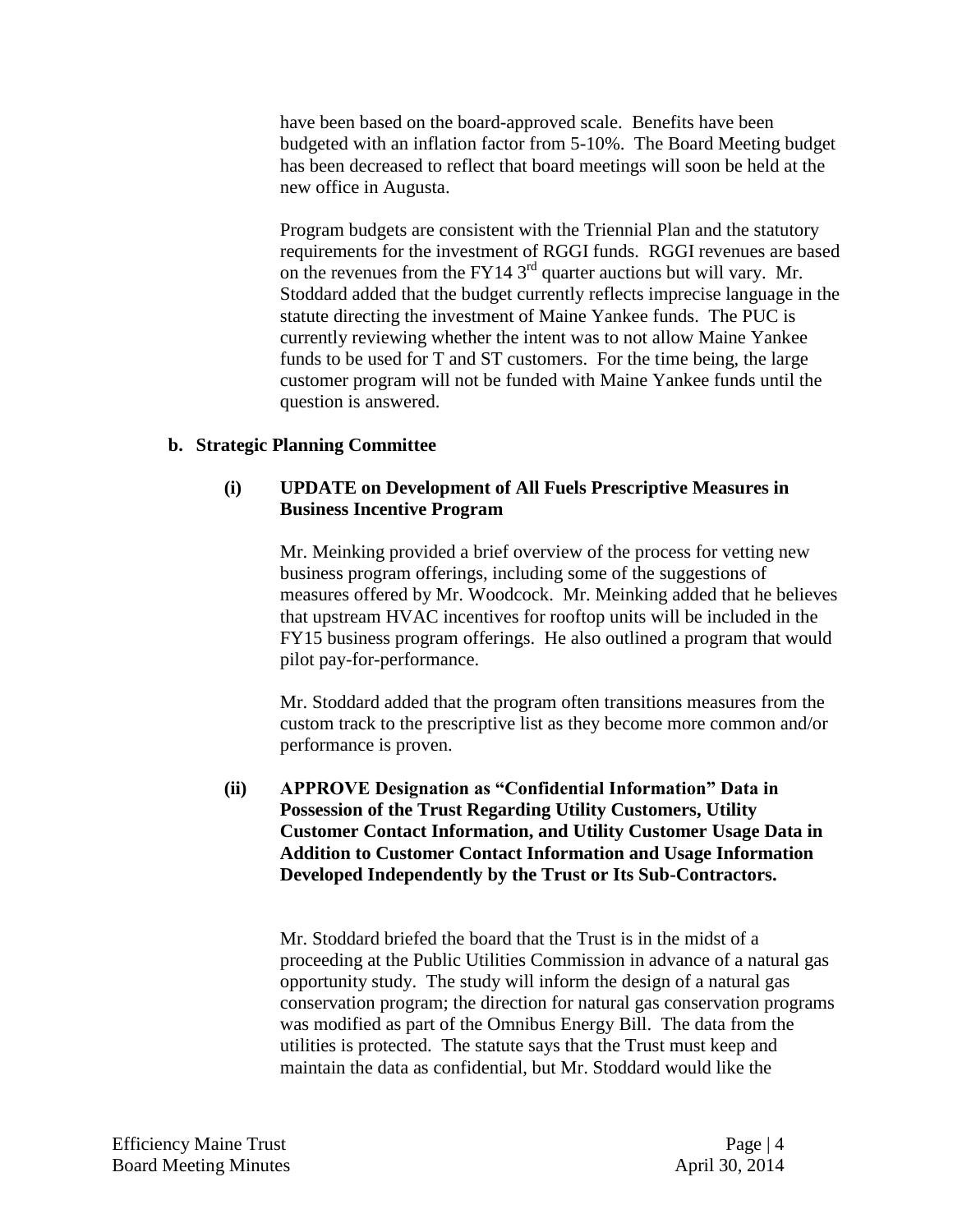have been based on the board-approved scale. Benefits have been budgeted with an inflation factor from 5-10%. The Board Meeting budget has been decreased to reflect that board meetings will soon be held at the new office in Augusta.

Program budgets are consistent with the Triennial Plan and the statutory requirements for the investment of RGGI funds. RGGI revenues are based on the revenues from the FY14  $3<sup>rd</sup>$  quarter auctions but will vary. Mr. Stoddard added that the budget currently reflects imprecise language in the statute directing the investment of Maine Yankee funds. The PUC is currently reviewing whether the intent was to not allow Maine Yankee funds to be used for T and ST customers. For the time being, the large customer program will not be funded with Maine Yankee funds until the question is answered.

#### **b. Strategic Planning Committee**

#### **(i) UPDATE on Development of All Fuels Prescriptive Measures in Business Incentive Program**

Mr. Meinking provided a brief overview of the process for vetting new business program offerings, including some of the suggestions of measures offered by Mr. Woodcock. Mr. Meinking added that he believes that upstream HVAC incentives for rooftop units will be included in the FY15 business program offerings. He also outlined a program that would pilot pay-for-performance.

Mr. Stoddard added that the program often transitions measures from the custom track to the prescriptive list as they become more common and/or performance is proven.

#### **(ii) APPROVE Designation as "Confidential Information" Data in Possession of the Trust Regarding Utility Customers, Utility Customer Contact Information, and Utility Customer Usage Data in Addition to Customer Contact Information and Usage Information Developed Independently by the Trust or Its Sub-Contractors.**

Mr. Stoddard briefed the board that the Trust is in the midst of a proceeding at the Public Utilities Commission in advance of a natural gas opportunity study. The study will inform the design of a natural gas conservation program; the direction for natural gas conservation programs was modified as part of the Omnibus Energy Bill. The data from the utilities is protected. The statute says that the Trust must keep and maintain the data as confidential, but Mr. Stoddard would like the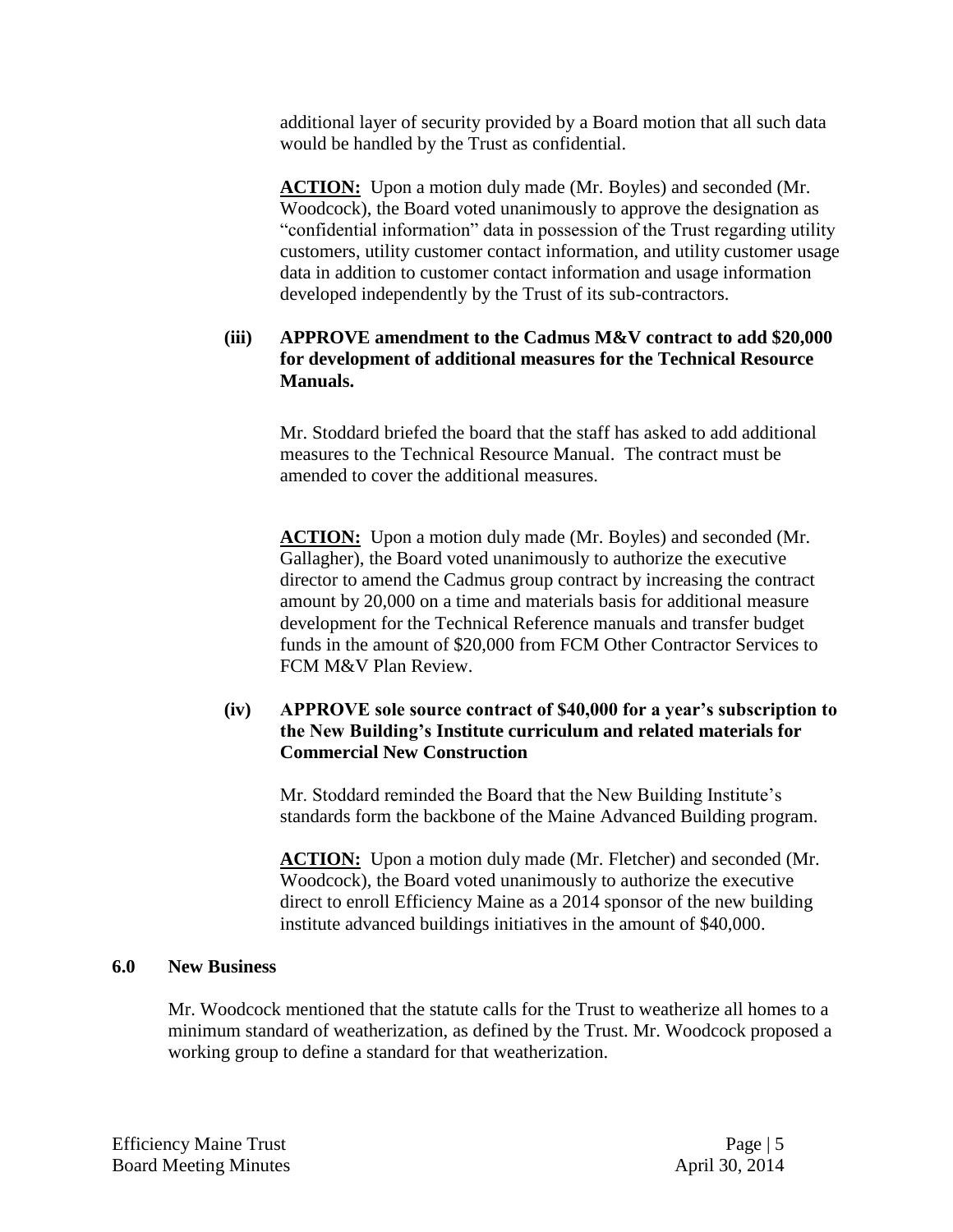additional layer of security provided by a Board motion that all such data would be handled by the Trust as confidential.

ACTION: Upon a motion duly made (Mr. Boyles) and seconded (Mr. Woodcock), the Board voted unanimously to approve the designation as "confidential information" data in possession of the Trust regarding utility customers, utility customer contact information, and utility customer usage data in addition to customer contact information and usage information developed independently by the Trust of its sub-contractors.

## **(iii) APPROVE amendment to the Cadmus M&V contract to add \$20,000 for development of additional measures for the Technical Resource Manuals.**

Mr. Stoddard briefed the board that the staff has asked to add additional measures to the Technical Resource Manual. The contract must be amended to cover the additional measures.

**ACTION:** Upon a motion duly made (Mr. Boyles) and seconded (Mr. Gallagher), the Board voted unanimously to authorize the executive director to amend the Cadmus group contract by increasing the contract amount by 20,000 on a time and materials basis for additional measure development for the Technical Reference manuals and transfer budget funds in the amount of \$20,000 from FCM Other Contractor Services to FCM M&V Plan Review.

## **(iv) APPROVE sole source contract of \$40,000 for a year's subscription to the New Building's Institute curriculum and related materials for Commercial New Construction**

Mr. Stoddard reminded the Board that the New Building Institute's standards form the backbone of the Maine Advanced Building program.

**ACTION:** Upon a motion duly made (Mr. Fletcher) and seconded (Mr. Woodcock), the Board voted unanimously to authorize the executive direct to enroll Efficiency Maine as a 2014 sponsor of the new building institute advanced buildings initiatives in the amount of \$40,000.

#### **6.0 New Business**

Mr. Woodcock mentioned that the statute calls for the Trust to weatherize all homes to a minimum standard of weatherization, as defined by the Trust. Mr. Woodcock proposed a working group to define a standard for that weatherization.